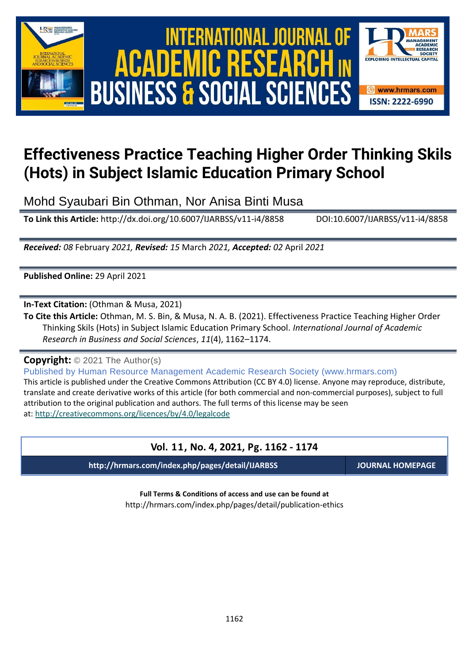





# **Effectiveness Practice Teaching Higher Order Thinking Skils (Hots) in Subject Islamic Education Primary School**

Mohd Syaubari Bin Othman, Nor Anisa Binti Musa

**To Link this Article:** http://dx.doi.org/10.6007/IJARBSS/v11-i4/8858 DOI:10.6007/IJARBSS/v11-i4/8858

*Received: 08* February *2021, Revised: 15* March *2021, Accepted: 02* April *2021*

**Published Online:** 29 April 2021

**In-Text Citation:** (Othman & Musa, 2021)

**To Cite this Article:** Othman, M. S. Bin, & Musa, N. A. B. (2021). Effectiveness Practice Teaching Higher Order Thinking Skils (Hots) in Subject Islamic Education Primary School. *International Journal of Academic Research in Business and Social Sciences*, *11*(4), 1162–1174.

**Copyright:** © 2021 The Author(s)

Published by Human Resource Management Academic Research Society (www.hrmars.com) This article is published under the Creative Commons Attribution (CC BY 4.0) license. Anyone may reproduce, distribute, translate and create derivative works of this article (for both commercial and non-commercial purposes), subject to full attribution to the original publication and authors. The full terms of this license may be seen at: <http://creativecommons.org/licences/by/4.0/legalcode>

# **Vol. 11, No. 4, 2021, Pg. 1162 - 1174**

**http://hrmars.com/index.php/pages/detail/IJARBSS JOURNAL HOMEPAGE**

**Full Terms & Conditions of access and use can be found at** http://hrmars.com/index.php/pages/detail/publication-ethics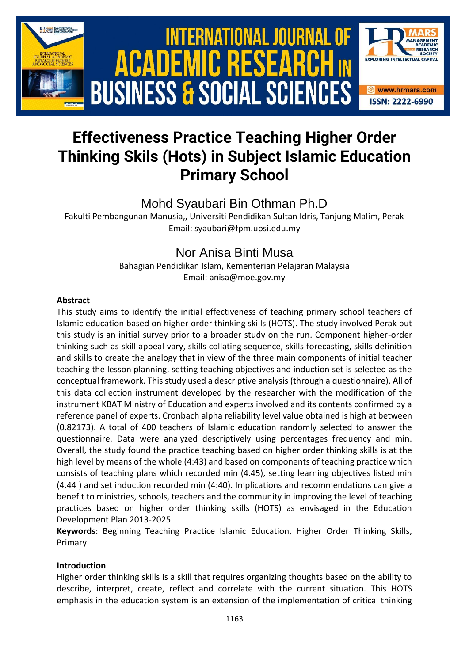

# **Effectiveness Practice Teaching Higher Order Thinking Skils (Hots) in Subject Islamic Education Primary School**

# Mohd Syaubari Bin Othman Ph.D

Fakulti Pembangunan Manusia,, Universiti Pendidikan Sultan Idris, Tanjung Malim, Perak Email: syaubari@fpm.upsi.edu.my

# Nor Anisa Binti Musa

Bahagian Pendidikan Islam, Kementerian Pelajaran Malaysia Email: anisa@moe.gov.my

# **Abstract**

This study aims to identify the initial effectiveness of teaching primary school teachers of Islamic education based on higher order thinking skills (HOTS). The study involved Perak but this study is an initial survey prior to a broader study on the run. Component higher-order thinking such as skill appeal vary, skills collating sequence, skills forecasting, skills definition and skills to create the analogy that in view of the three main components of initial teacher teaching the lesson planning, setting teaching objectives and induction set is selected as the conceptual framework. This study used a descriptive analysis (through a questionnaire). All of this data collection instrument developed by the researcher with the modification of the instrument KBAT Ministry of Education and experts involved and its contents confirmed by a reference panel of experts. Cronbach alpha reliability level value obtained is high at between (0.82173). A total of 400 teachers of Islamic education randomly selected to answer the questionnaire. Data were analyzed descriptively using percentages frequency and min. Overall, the study found the practice teaching based on higher order thinking skills is at the high level by means of the whole (4:43) and based on components of teaching practice which consists of teaching plans which recorded min (4.45), setting learning objectives listed min (4.44 ) and set induction recorded min (4:40). Implications and recommendations can give a benefit to ministries, schools, teachers and the community in improving the level of teaching practices based on higher order thinking skills (HOTS) as envisaged in the Education Development Plan 2013-2025

**Keywords**: Beginning Teaching Practice Islamic Education, Higher Order Thinking Skills, Primary.

# **Introduction**

Higher order thinking skills is a skill that requires organizing thoughts based on the ability to describe, interpret, create, reflect and correlate with the current situation. This HOTS emphasis in the education system is an extension of the implementation of critical thinking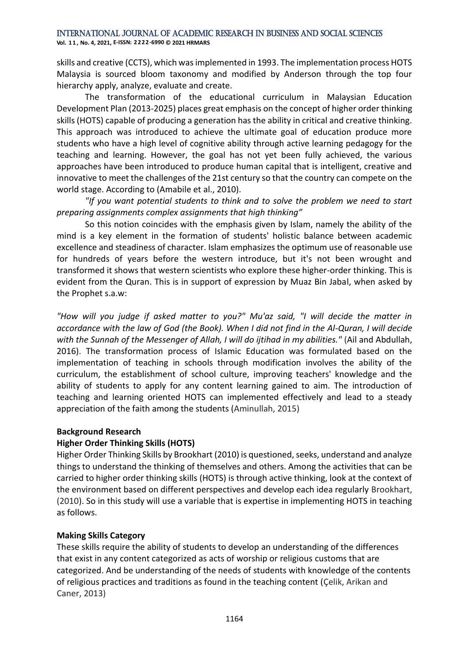skills and creative (CCTS), which was implemented in 1993. The implementation process HOTS Malaysia is sourced bloom taxonomy and modified by Anderson through the top four hierarchy apply, analyze, evaluate and create.

The transformation of the educational curriculum in Malaysian Education Development Plan (2013-2025) places great emphasis on the concept of higher order thinking skills (HOTS) capable of producing a generation has the ability in critical and creative thinking. This approach was introduced to achieve the ultimate goal of education produce more students who have a high level of cognitive ability through active learning pedagogy for the teaching and learning. However, the goal has not yet been fully achieved, the various approaches have been introduced to produce human capital that is intelligent, creative and innovative to meet the challenges of the 21st century so that the country can compete on the world stage. According to (Amabile et al., 2010).

*"If you want potential students to think and to solve the problem we need to start preparing assignments complex assignments that high thinking"*

So this notion coincides with the emphasis given by Islam, namely the ability of the mind is a key element in the formation of students' holistic balance between academic excellence and steadiness of character. Islam emphasizes the optimum use of reasonable use for hundreds of years before the western introduce, but it's not been wrought and transformed it shows that western scientists who explore these higher-order thinking. This is evident from the Quran. This is in support of expression by Muaz Bin Jabal, when asked by the Prophet s.a.w:

*"How will you judge if asked matter to you?" Mu'az said, "I will decide the matter in accordance with the law of God (the Book). When I did not find in the Al-Quran, I will decide with the Sunnah of the Messenger of Allah, I will do ijtihad in my abilities."* (Ail and Abdullah, 2016). The transformation process of Islamic Education was formulated based on the implementation of teaching in schools through modification involves the ability of the curriculum, the establishment of school culture, improving teachers' knowledge and the ability of students to apply for any content learning gained to aim. The introduction of teaching and learning oriented HOTS can implemented effectively and lead to a steady appreciation of the faith among the students (Aminullah, 2015)

# **Background Research**

# **Higher Order Thinking Skills (HOTS)**

Higher Order Thinking Skills by Brookhart (2010) is questioned, seeks, understand and analyze things to understand the thinking of themselves and others. Among the activities that can be carried to higher order thinking skills (HOTS) is through active thinking, look at the context of the environment based on different perspectives and develop each idea regularly Brookhart, (2010). So in this study will use a variable that is expertise in implementing HOTS in teaching as follows.

# **Making Skills Category**

These skills require the ability of students to develop an understanding of the differences that exist in any content categorized as acts of worship or religious customs that are categorized. And be understanding of the needs of students with knowledge of the contents of religious practices and traditions as found in the teaching content (Çelik, Arikan and Caner, 2013)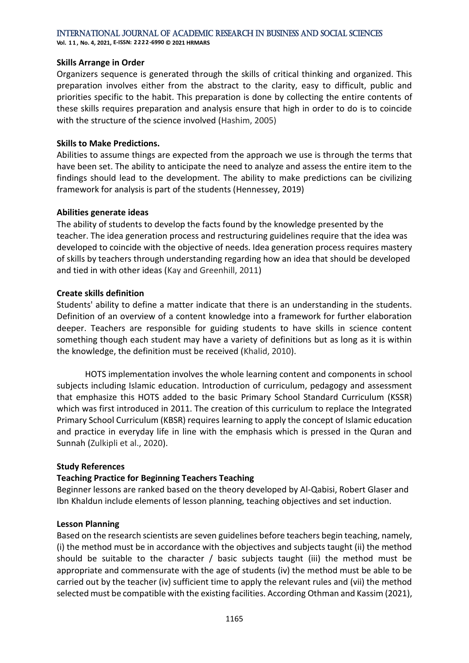**Vol. 1 1 , No. 4, 2021, E-ISSN: 2222-6990 © 2021 HRMARS**

#### **Skills Arrange in Order**

Organizers sequence is generated through the skills of critical thinking and organized. This preparation involves either from the abstract to the clarity, easy to difficult, public and priorities specific to the habit. This preparation is done by collecting the entire contents of these skills requires preparation and analysis ensure that high in order to do is to coincide with the structure of the science involved (Hashim, 2005)

#### **Skills to Make Predictions.**

Abilities to assume things are expected from the approach we use is through the terms that have been set. The ability to anticipate the need to analyze and assess the entire item to the findings should lead to the development. The ability to make predictions can be civilizing framework for analysis is part of the students (Hennessey, 2019)

#### **Abilities generate ideas**

The ability of students to develop the facts found by the knowledge presented by the teacher. The idea generation process and restructuring guidelines require that the idea was developed to coincide with the objective of needs. Idea generation process requires mastery of skills by teachers through understanding regarding how an idea that should be developed and tied in with other ideas (Kay and Greenhill, 2011)

#### **Create skills definition**

Students' ability to define a matter indicate that there is an understanding in the students. Definition of an overview of a content knowledge into a framework for further elaboration deeper. Teachers are responsible for guiding students to have skills in science content something though each student may have a variety of definitions but as long as it is within the knowledge, the definition must be received (Khalid, 2010).

HOTS implementation involves the whole learning content and components in school subjects including Islamic education. Introduction of curriculum, pedagogy and assessment that emphasize this HOTS added to the basic Primary School Standard Curriculum (KSSR) which was first introduced in 2011. The creation of this curriculum to replace the Integrated Primary School Curriculum (KBSR) requires learning to apply the concept of Islamic education and practice in everyday life in line with the emphasis which is pressed in the Quran and Sunnah (Zulkipli et al., 2020).

#### **Study References**

# **Teaching Practice for Beginning Teachers Teaching**

Beginner lessons are ranked based on the theory developed by Al-Qabisi, Robert Glaser and Ibn Khaldun include elements of lesson planning, teaching objectives and set induction.

#### **Lesson Planning**

Based on the research scientists are seven guidelines before teachers begin teaching, namely, (i) the method must be in accordance with the objectives and subjects taught (ii) the method should be suitable to the character / basic subjects taught (iii) the method must be appropriate and commensurate with the age of students (iv) the method must be able to be carried out by the teacher (iv) sufficient time to apply the relevant rules and (vii) the method selected must be compatible with the existing facilities. According Othman and Kassim (2021),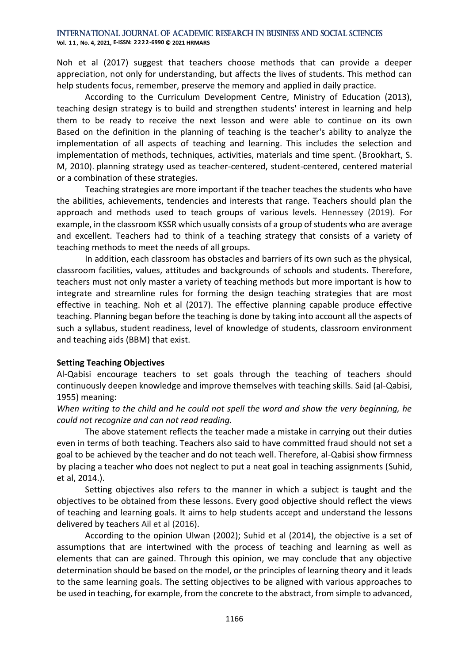**Vol. 1 1 , No. 4, 2021, E-ISSN: 2222-6990 © 2021 HRMARS**

Noh et al (2017) suggest that teachers choose methods that can provide a deeper appreciation, not only for understanding, but affects the lives of students. This method can help students focus, remember, preserve the memory and applied in daily practice.

According to the Curriculum Development Centre, Ministry of Education (2013), teaching design strategy is to build and strengthen students' interest in learning and help them to be ready to receive the next lesson and were able to continue on its own Based on the definition in the planning of teaching is the teacher's ability to analyze the implementation of all aspects of teaching and learning. This includes the selection and implementation of methods, techniques, activities, materials and time spent. (Brookhart, S. M, 2010). planning strategy used as teacher-centered, student-centered, centered material or a combination of these strategies.

Teaching strategies are more important if the teacher teaches the students who have the abilities, achievements, tendencies and interests that range. Teachers should plan the approach and methods used to teach groups of various levels. Hennessey (2019). For example, in the classroom KSSR which usually consists of a group of students who are average and excellent. Teachers had to think of a teaching strategy that consists of a variety of teaching methods to meet the needs of all groups.

In addition, each classroom has obstacles and barriers of its own such as the physical, classroom facilities, values, attitudes and backgrounds of schools and students. Therefore, teachers must not only master a variety of teaching methods but more important is how to integrate and streamline rules for forming the design teaching strategies that are most effective in teaching. Noh et al (2017). The effective planning capable produce effective teaching. Planning began before the teaching is done by taking into account all the aspects of such a syllabus, student readiness, level of knowledge of students, classroom environment and teaching aids (BBM) that exist.

#### **Setting Teaching Objectives**

Al-Qabisi encourage teachers to set goals through the teaching of teachers should continuously deepen knowledge and improve themselves with teaching skills. Said (al-Qabisi, 1955) meaning:

*When writing to the child and he could not spell the word and show the very beginning, he could not recognize and can not read reading.*

The above statement reflects the teacher made a mistake in carrying out their duties even in terms of both teaching. Teachers also said to have committed fraud should not set a goal to be achieved by the teacher and do not teach well. Therefore, al-Qabisi show firmness by placing a teacher who does not neglect to put a neat goal in teaching assignments (Suhid, et al, 2014.).

Setting objectives also refers to the manner in which a subject is taught and the objectives to be obtained from these lessons. Every good objective should reflect the views of teaching and learning goals. It aims to help students accept and understand the lessons delivered by teachers Ail et al (2016).

According to the opinion Ulwan (2002); Suhid et al (2014), the objective is a set of assumptions that are intertwined with the process of teaching and learning as well as elements that can are gained. Through this opinion, we may conclude that any objective determination should be based on the model, or the principles of learning theory and it leads to the same learning goals. The setting objectives to be aligned with various approaches to be used in teaching, for example, from the concrete to the abstract, from simple to advanced,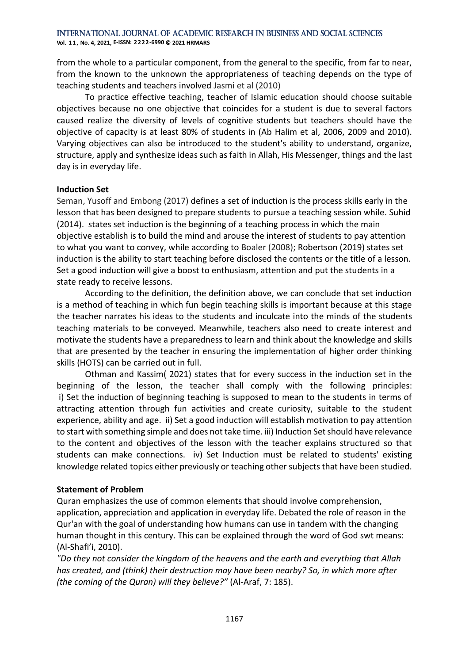**Vol. 1 1 , No. 4, 2021, E-ISSN: 2222-6990 © 2021 HRMARS**

from the whole to a particular component, from the general to the specific, from far to near, from the known to the unknown the appropriateness of teaching depends on the type of teaching students and teachers involved Jasmi et al (2010)

To practice effective teaching, teacher of Islamic education should choose suitable objectives because no one objective that coincides for a student is due to several factors caused realize the diversity of levels of cognitive students but teachers should have the objective of capacity is at least 80% of students in (Ab Halim et al, 2006, 2009 and 2010). Varying objectives can also be introduced to the student's ability to understand, organize, structure, apply and synthesize ideas such as faith in Allah, His Messenger, things and the last day is in everyday life.

#### **Induction Set**

Seman, Yusoff and Embong (2017) defines a set of induction is the process skills early in the lesson that has been designed to prepare students to pursue a teaching session while. Suhid (2014). states set induction is the beginning of a teaching process in which the main objective establish is to build the mind and arouse the interest of students to pay attention to what you want to convey, while according to Boaler (2008); Robertson (2019) states set induction is the ability to start teaching before disclosed the contents or the title of a lesson. Set a good induction will give a boost to enthusiasm, attention and put the students in a state ready to receive lessons.

According to the definition, the definition above, we can conclude that set induction is a method of teaching in which fun begin teaching skills is important because at this stage the teacher narrates his ideas to the students and inculcate into the minds of the students teaching materials to be conveyed. Meanwhile, teachers also need to create interest and motivate the students have a preparedness to learn and think about the knowledge and skills that are presented by the teacher in ensuring the implementation of higher order thinking skills (HOTS) can be carried out in full.

Othman and Kassim( 2021) states that for every success in the induction set in the beginning of the lesson, the teacher shall comply with the following principles: i) Set the induction of beginning teaching is supposed to mean to the students in terms of attracting attention through fun activities and create curiosity, suitable to the student experience, ability and age. ii) Set a good induction will establish motivation to pay attention to start with something simple and does not take time. iii) Induction Set should have relevance to the content and objectives of the lesson with the teacher explains structured so that students can make connections. iv) Set Induction must be related to students' existing knowledge related topics either previously or teaching other subjects that have been studied.

#### **Statement of Problem**

Quran emphasizes the use of common elements that should involve comprehension, application, appreciation and application in everyday life. Debated the role of reason in the Qur'an with the goal of understanding how humans can use in tandem with the changing human thought in this century. This can be explained through the word of God swt means: (Al-Shafi'i, 2010).

*"Do they not consider the kingdom of the heavens and the earth and everything that Allah has created, and (think) their destruction may have been nearby? So, in which more after (the coming of the Quran) will they believe?"* (Al-Araf, 7: 185).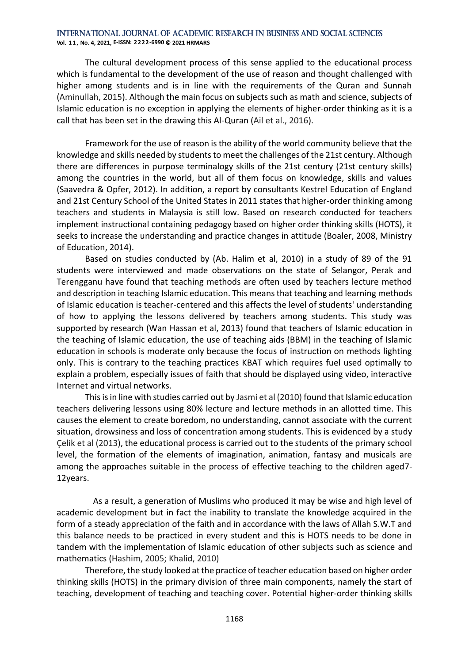**Vol. 1 1 , No. 4, 2021, E-ISSN: 2222-6990 © 2021 HRMARS**

The cultural development process of this sense applied to the educational process which is fundamental to the development of the use of reason and thought challenged with higher among students and is in line with the requirements of the Quran and Sunnah (Aminullah, 2015). Although the main focus on subjects such as math and science, subjects of Islamic education is no exception in applying the elements of higher-order thinking as it is a call that has been set in the drawing this Al-Quran (Ail et al., 2016).

Framework for the use of reason is the ability of the world community believe that the knowledge and skills needed by students to meet the challenges of the 21st century. Although there are differences in purpose terminalogy skills of the 21st century (21st century skills) among the countries in the world, but all of them focus on knowledge, skills and values (Saavedra & Opfer, 2012). In addition, a report by consultants Kestrel Education of England and 21st Century School of the United States in 2011 states that higher-order thinking among teachers and students in Malaysia is still low. Based on research conducted for teachers implement instructional containing pedagogy based on higher order thinking skills (HOTS), it seeks to increase the understanding and practice changes in attitude (Boaler, 2008, Ministry of Education, 2014).

Based on studies conducted by (Ab. Halim et al, 2010) in a study of 89 of the 91 students were interviewed and made observations on the state of Selangor, Perak and Terengganu have found that teaching methods are often used by teachers lecture method and description in teaching Islamic education. This means that teaching and learning methods of Islamic education is teacher-centered and this affects the level of students' understanding of how to applying the lessons delivered by teachers among students. This study was supported by research (Wan Hassan et al, 2013) found that teachers of Islamic education in the teaching of Islamic education, the use of teaching aids (BBM) in the teaching of Islamic education in schools is moderate only because the focus of instruction on methods lighting only. This is contrary to the teaching practices KBAT which requires fuel used optimally to explain a problem, especially issues of faith that should be displayed using video, interactive Internet and virtual networks.

This is in line with studies carried out by Jasmi et al (2010) found that Islamic education teachers delivering lessons using 80% lecture and lecture methods in an allotted time. This causes the element to create boredom, no understanding, cannot associate with the current situation, drowsiness and loss of concentration among students. This is evidenced by a study Çelik et al (2013), the educational process is carried out to the students of the primary school level, the formation of the elements of imagination, animation, fantasy and musicals are among the approaches suitable in the process of effective teaching to the children aged7- 12years.

 As a result, a generation of Muslims who produced it may be wise and high level of academic development but in fact the inability to translate the knowledge acquired in the form of a steady appreciation of the faith and in accordance with the laws of Allah S.W.T and this balance needs to be practiced in every student and this is HOTS needs to be done in tandem with the implementation of Islamic education of other subjects such as science and mathematics (Hashim, 2005; Khalid, 2010)

Therefore, the study looked at the practice of teacher education based on higher order thinking skills (HOTS) in the primary division of three main components, namely the start of teaching, development of teaching and teaching cover. Potential higher-order thinking skills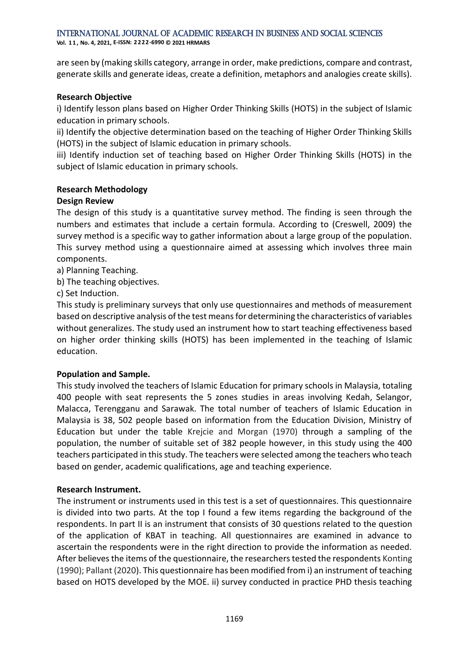International Journal of Academic Research in Business and Social Sciences **Vol. 1 1 , No. 4, 2021, E-ISSN: 2222-6990 © 2021 HRMARS**

are seen by (making skills category, arrange in order, make predictions, compare and contrast, generate skills and generate ideas, create a definition, metaphors and analogies create skills).

#### **Research Objective**

i) Identify lesson plans based on Higher Order Thinking Skills (HOTS) in the subject of Islamic education in primary schools.

ii) Identify the objective determination based on the teaching of Higher Order Thinking Skills (HOTS) in the subject of Islamic education in primary schools.

iii) Identify induction set of teaching based on Higher Order Thinking Skills (HOTS) in the subject of Islamic education in primary schools.

#### **Research Methodology**

#### **Design Review**

The design of this study is a quantitative survey method. The finding is seen through the numbers and estimates that include a certain formula. According to (Creswell, 2009) the survey method is a specific way to gather information about a large group of the population. This survey method using a questionnaire aimed at assessing which involves three main components.

a) Planning Teaching.

b) The teaching objectives.

c) Set Induction.

This study is preliminary surveys that only use questionnaires and methods of measurement based on descriptive analysis of the test means for determining the characteristics of variables without generalizes. The study used an instrument how to start teaching effectiveness based on higher order thinking skills (HOTS) has been implemented in the teaching of Islamic education.

#### **Population and Sample.**

This study involved the teachers of Islamic Education for primary schools in Malaysia, totaling 400 people with seat represents the 5 zones studies in areas involving Kedah, Selangor, Malacca, Terengganu and Sarawak. The total number of teachers of Islamic Education in Malaysia is 38, 502 people based on information from the Education Division, Ministry of Education but under the table Krejcie and Morgan (1970) through a sampling of the population, the number of suitable set of 382 people however, in this study using the 400 teachers participated in this study. The teachers were selected among the teachers who teach based on gender, academic qualifications, age and teaching experience.

#### **Research Instrument.**

The instrument or instruments used in this test is a set of questionnaires. This questionnaire is divided into two parts. At the top I found a few items regarding the background of the respondents. In part II is an instrument that consists of 30 questions related to the question of the application of KBAT in teaching. All questionnaires are examined in advance to ascertain the respondents were in the right direction to provide the information as needed. After believes the items of the questionnaire, the researchers tested the respondents Konting (1990); Pallant (2020). This questionnaire has been modified from i) an instrument of teaching based on HOTS developed by the MOE. ii) survey conducted in practice PHD thesis teaching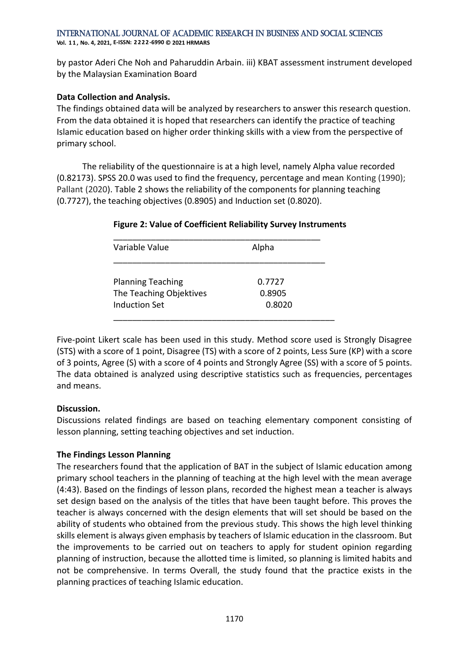**Vol. 1 1 , No. 4, 2021, E-ISSN: 2222-6990 © 2021 HRMARS**

by pastor Aderi Che Noh and Paharuddin Arbain. iii) KBAT assessment instrument developed by the Malaysian Examination Board

### **Data Collection and Analysis.**

The findings obtained data will be analyzed by researchers to answer this research question. From the data obtained it is hoped that researchers can identify the practice of teaching Islamic education based on higher order thinking skills with a view from the perspective of primary school.

 The reliability of the questionnaire is at a high level, namely Alpha value recorded (0.82173). SPSS 20.0 was used to find the frequency, percentage and mean Konting (1990); Pallant (2020). Table 2 shows the reliability of the components for planning teaching (0.7727), the teaching objectives (0.8905) and Induction set (0.8020).

| Variable Value           | Alpha  |  |
|--------------------------|--------|--|
| <b>Planning Teaching</b> | 0.7727 |  |
| The Teaching Objektives  | 0.8905 |  |
| Induction Set            | 0.8020 |  |

#### **Figure 2: Value of Coefficient Reliability Survey Instruments**

Five-point Likert scale has been used in this study. Method score used is Strongly Disagree (STS) with a score of 1 point, Disagree (TS) with a score of 2 points, Less Sure (KP) with a score of 3 points, Agree (S) with a score of 4 points and Strongly Agree (SS) with a score of 5 points. The data obtained is analyzed using descriptive statistics such as frequencies, percentages and means.

# **Discussion.**

Discussions related findings are based on teaching elementary component consisting of lesson planning, setting teaching objectives and set induction.

# **The Findings Lesson Planning**

The researchers found that the application of BAT in the subject of Islamic education among primary school teachers in the planning of teaching at the high level with the mean average (4:43). Based on the findings of lesson plans, recorded the highest mean a teacher is always set design based on the analysis of the titles that have been taught before. This proves the teacher is always concerned with the design elements that will set should be based on the ability of students who obtained from the previous study. This shows the high level thinking skills element is always given emphasis by teachers of Islamic education in the classroom. But the improvements to be carried out on teachers to apply for student opinion regarding planning of instruction, because the allotted time is limited, so planning is limited habits and not be comprehensive. In terms Overall, the study found that the practice exists in the planning practices of teaching Islamic education.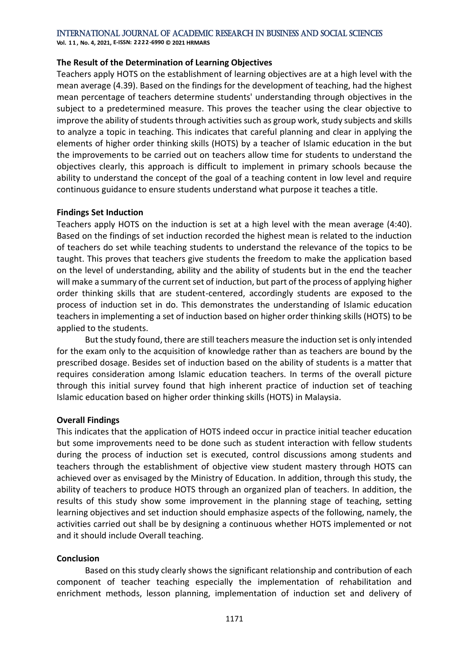**Vol. 1 1 , No. 4, 2021, E-ISSN: 2222-6990 © 2021 HRMARS**

#### **The Result of the Determination of Learning Objectives**

Teachers apply HOTS on the establishment of learning objectives are at a high level with the mean average (4.39). Based on the findings for the development of teaching, had the highest mean percentage of teachers determine students' understanding through objectives in the subject to a predetermined measure. This proves the teacher using the clear objective to improve the ability of students through activities such as group work, study subjects and skills to analyze a topic in teaching. This indicates that careful planning and clear in applying the elements of higher order thinking skills (HOTS) by a teacher of Islamic education in the but the improvements to be carried out on teachers allow time for students to understand the objectives clearly, this approach is difficult to implement in primary schools because the ability to understand the concept of the goal of a teaching content in low level and require continuous guidance to ensure students understand what purpose it teaches a title.

#### **Findings Set Induction**

Teachers apply HOTS on the induction is set at a high level with the mean average (4:40). Based on the findings of set induction recorded the highest mean is related to the induction of teachers do set while teaching students to understand the relevance of the topics to be taught. This proves that teachers give students the freedom to make the application based on the level of understanding, ability and the ability of students but in the end the teacher will make a summary of the current set of induction, but part of the process of applying higher order thinking skills that are student-centered, accordingly students are exposed to the process of induction set in do. This demonstrates the understanding of Islamic education teachers in implementing a set of induction based on higher order thinking skills (HOTS) to be applied to the students.

But the study found, there are still teachers measure the induction set is only intended for the exam only to the acquisition of knowledge rather than as teachers are bound by the prescribed dosage. Besides set of induction based on the ability of students is a matter that requires consideration among Islamic education teachers. In terms of the overall picture through this initial survey found that high inherent practice of induction set of teaching Islamic education based on higher order thinking skills (HOTS) in Malaysia.

#### **Overall Findings**

This indicates that the application of HOTS indeed occur in practice initial teacher education but some improvements need to be done such as student interaction with fellow students during the process of induction set is executed, control discussions among students and teachers through the establishment of objective view student mastery through HOTS can achieved over as envisaged by the Ministry of Education. In addition, through this study, the ability of teachers to produce HOTS through an organized plan of teachers. In addition, the results of this study show some improvement in the planning stage of teaching, setting learning objectives and set induction should emphasize aspects of the following, namely, the activities carried out shall be by designing a continuous whether HOTS implemented or not and it should include Overall teaching.

#### **Conclusion**

Based on this study clearly shows the significant relationship and contribution of each component of teacher teaching especially the implementation of rehabilitation and enrichment methods, lesson planning, implementation of induction set and delivery of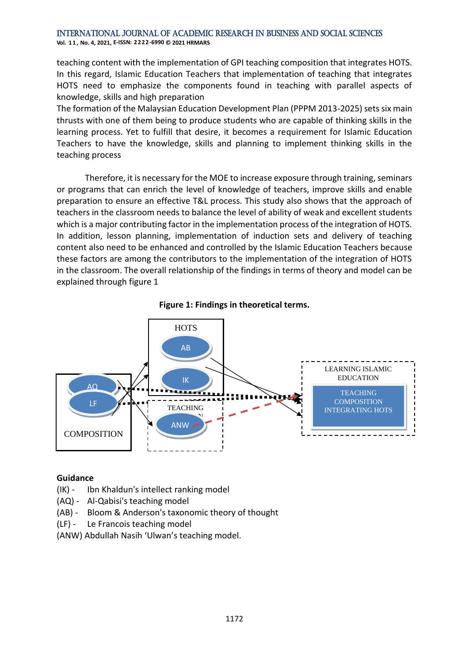**Vol. 1 1 , No. 4, 2021, E-ISSN: 2222-6990 © 2021 HRMARS**

teaching content with the implementation of GPI teaching composition that integrates HOTS. In this regard, Islamic Education Teachers that implementation of teaching that integrates HOTS need to emphasize the components found in teaching with parallel aspects of knowledge, skills and high preparation

The formation of the Malaysian Education Development Plan (PPPM 2013-2025) sets six main thrusts with one of them being to produce students who are capable of thinking skills in the learning process. Yet to fulfill that desire, it becomes a requirement for Islamic Education Teachers to have the knowledge, skills and planning to implement thinking skills in the teaching process

Therefore, it is necessary for the MOE to increase exposure through training, seminars or programs that can enrich the level of knowledge of teachers, improve skills and enable preparation to ensure an effective T&L process. This study also shows that the approach of teachers in the classroom needs to balance the level of ability of weak and excellent students which is a major contributing factor in the implementation process of the integration of HOTS. In addition, lesson planning, implementation of induction sets and delivery of teaching content also need to be enhanced and controlled by the Islamic Education Teachers because these factors are among the contributors to the implementation of the integration of HOTS in the classroom. The overall relationship of the findings in terms of theory and model can be explained through figure 1





#### **Guidance**

- (IK) Ibn Khaldun's intellect ranking model
- (AQ) Al-Qabisi's teaching model
- (AB) Bloom & Anderson's taxonomic theory of thought
- (LF) Le Francois teaching model
- (ANW) Abdullah Nasih 'Ulwan's teaching model.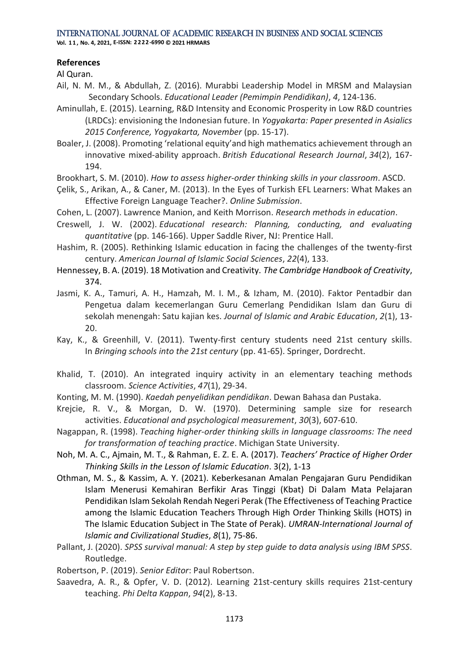**Vol. 1 1 , No. 4, 2021, E-ISSN: 2222-6990 © 2021 HRMARS**

# **References**

Al Quran.

- Ail, N. M. M., & Abdullah, Z. (2016). Murabbi Leadership Model in MRSM and Malaysian Secondary Schools. *Educational Leader (Pemimpin Pendidikan)*, *4*, 124-136.
- Aminullah, E. (2015). Learning, R&D Intensity and Economic Prosperity in Low R&D countries (LRDCs): envisioning the Indonesian future. In *Yogyakarta: Paper presented in Asialics 2015 Conference, Yogyakarta, November* (pp. 15-17).
- Boaler, J. (2008). Promoting 'relational equity'and high mathematics achievement through an innovative mixed‐ability approach. *British Educational Research Journal*, *34*(2), 167- 194.
- Brookhart, S. M. (2010). *How to assess higher-order thinking skills in your classroom*. ASCD.
- Çelik, S., Arikan, A., & Caner, M. (2013). In the Eyes of Turkish EFL Learners: What Makes an Effective Foreign Language Teacher?. *Online Submission*.
- Cohen, L. (2007). Lawrence Manion, and Keith Morrison. *Research methods in education*.
- Creswell, J. W. (2002). *Educational research: Planning, conducting, and evaluating quantitative* (pp. 146-166). Upper Saddle River, NJ: Prentice Hall.
- Hashim, R. (2005). Rethinking Islamic education in facing the challenges of the twenty-first century. *American Journal of Islamic Social Sciences*, *22*(4), 133.
- Hennessey, B. A. (2019). 18 Motivation and Creativity. *The Cambridge Handbook of Creativity*, 374.
- Jasmi, K. A., Tamuri, A. H., Hamzah, M. I. M., & Izham, M. (2010). Faktor Pentadbir dan Pengetua dalam kecemerlangan Guru Cemerlang Pendidikan Islam dan Guru di sekolah menengah: Satu kajian kes. *Journal of Islamic and Arabic Education*, *2*(1), 13- 20.
- Kay, K., & Greenhill, V. (2011). Twenty-first century students need 21st century skills. In *Bringing schools into the 21st century* (pp. 41-65). Springer, Dordrecht.
- Khalid, T. (2010). An integrated inquiry activity in an elementary teaching methods classroom. *Science Activities*, *47*(1), 29-34.
- Konting, M. M. (1990). *Kaedah penyelidikan pendidikan*. Dewan Bahasa dan Pustaka.
- Krejcie, R. V., & Morgan, D. W. (1970). Determining sample size for research activities. *Educational and psychological measurement*, *30*(3), 607-610.
- Nagappan, R. (1998). *Teaching higher-order thinking skills in language classrooms: The need for transformation of teaching practice*. Michigan State University.
- Noh, M. A. C., Ajmain, M. T., & Rahman, E. Z. E. A. (2017). *Teachers' Practice of Higher Order Thinking Skills in the Lesson of Islamic Education*. 3(2), 1-13
- Othman, M. S., & Kassim, A. Y. (2021). Keberkesanan Amalan Pengajaran Guru Pendidikan Islam Menerusi Kemahiran Berfikir Aras Tinggi (Kbat) Di Dalam Mata Pelajaran Pendidikan Islam Sekolah Rendah Negeri Perak (The Effectiveness of Teaching Practice among the Islamic Education Teachers Through High Order Thinking Skills (HOTS) in The Islamic Education Subject in The State of Perak). *UMRAN-International Journal of Islamic and Civilizational Studies*, *8*(1), 75-86.
- Pallant, J. (2020). *SPSS survival manual: A step by step guide to data analysis using IBM SPSS*. Routledge.
- Robertson, P. (2019). *Senior Editor*: Paul Robertson.
- Saavedra, A. R., & Opfer, V. D. (2012). Learning 21st-century skills requires 21st-century teaching. *Phi Delta Kappan*, *94*(2), 8-13.